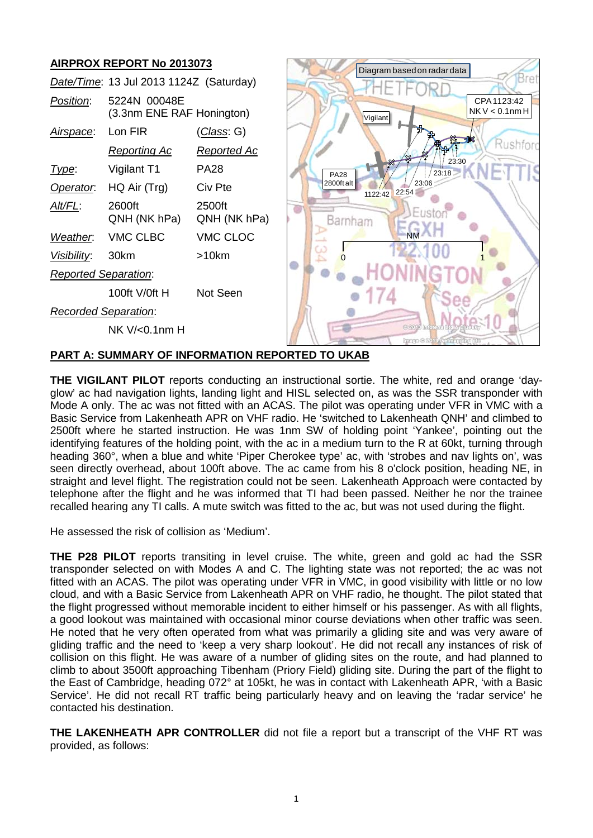

**THE VIGILANT PILOT** reports conducting an instructional sortie. The white, red and orange 'dayglow' ac had navigation lights, landing light and HISL selected on, as was the SSR transponder with Mode A only. The ac was not fitted with an ACAS. The pilot was operating under VFR in VMC with a

Basic Service from Lakenheath APR on VHF radio. He 'switched to Lakenheath QNH' and climbed to 2500ft where he started instruction. He was 1nm SW of holding point 'Yankee', pointing out the identifying features of the holding point, with the ac in a medium turn to the R at 60kt, turning through heading 360°, when a blue and white 'Piper Cherokee type' ac, with 'strobes and nav lights on', was seen directly overhead, about 100ft above. The ac came from his 8 o'clock position, heading NE, in straight and level flight. The registration could not be seen. Lakenheath Approach were contacted by telephone after the flight and he was informed that TI had been passed. Neither he nor the trainee recalled hearing any TI calls. A mute switch was fitted to the ac, but was not used during the flight.

He assessed the risk of collision as 'Medium'.

**THE P28 PILOT** reports transiting in level cruise. The white, green and gold ac had the SSR transponder selected on with Modes A and C. The lighting state was not reported; the ac was not fitted with an ACAS. The pilot was operating under VFR in VMC, in good visibility with little or no low cloud, and with a Basic Service from Lakenheath APR on VHF radio, he thought. The pilot stated that the flight progressed without memorable incident to either himself or his passenger. As with all flights, a good lookout was maintained with occasional minor course deviations when other traffic was seen. He noted that he very often operated from what was primarily a gliding site and was very aware of gliding traffic and the need to 'keep a very sharp lookout'. He did not recall any instances of risk of collision on this flight. He was aware of a number of gliding sites on the route, and had planned to climb to about 3500ft approaching Tibenham (Priory Field) gliding site. During the part of the flight to the East of Cambridge, heading 072° at 105kt, he was in contact with Lakenheath APR, 'with a Basic Service'. He did not recall RT traffic being particularly heavy and on leaving the 'radar service' he contacted his destination.

**THE LAKENHEATH APR CONTROLLER** did not file a report but a transcript of the VHF RT was provided, as follows: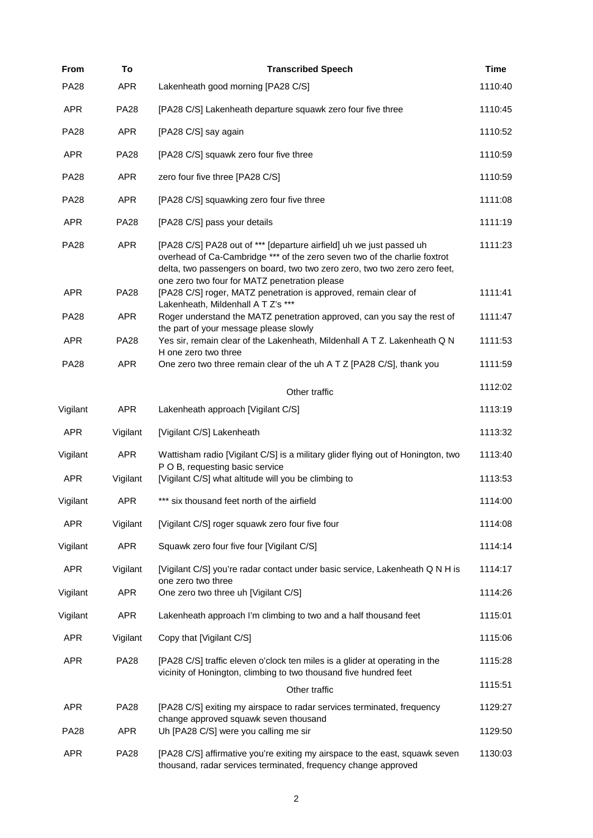| From        | To          | <b>Transcribed Speech</b>                                                                                                                                                                                                                                                        | <b>Time</b> |
|-------------|-------------|----------------------------------------------------------------------------------------------------------------------------------------------------------------------------------------------------------------------------------------------------------------------------------|-------------|
| <b>PA28</b> | <b>APR</b>  | Lakenheath good morning [PA28 C/S]                                                                                                                                                                                                                                               | 1110:40     |
| <b>APR</b>  | <b>PA28</b> | [PA28 C/S] Lakenheath departure squawk zero four five three                                                                                                                                                                                                                      | 1110:45     |
| <b>PA28</b> | <b>APR</b>  | [PA28 C/S] say again                                                                                                                                                                                                                                                             | 1110:52     |
| <b>APR</b>  | <b>PA28</b> | [PA28 C/S] squawk zero four five three                                                                                                                                                                                                                                           | 1110:59     |
| <b>PA28</b> | <b>APR</b>  | zero four five three [PA28 C/S]                                                                                                                                                                                                                                                  | 1110:59     |
| <b>PA28</b> | <b>APR</b>  | [PA28 C/S] squawking zero four five three                                                                                                                                                                                                                                        | 1111:08     |
| <b>APR</b>  | <b>PA28</b> | [PA28 C/S] pass your details                                                                                                                                                                                                                                                     | 1111:19     |
| <b>PA28</b> | <b>APR</b>  | [PA28 C/S] PA28 out of *** [departure airfield] uh we just passed uh<br>overhead of Ca-Cambridge *** of the zero seven two of the charlie foxtrot<br>delta, two passengers on board, two two zero zero, two two zero zero feet,<br>one zero two four for MATZ penetration please | 1111:23     |
| <b>APR</b>  | <b>PA28</b> | [PA28 C/S] roger, MATZ penetration is approved, remain clear of<br>Lakenheath, Mildenhall A T Z's ***                                                                                                                                                                            | 1111:41     |
| <b>PA28</b> | <b>APR</b>  | Roger understand the MATZ penetration approved, can you say the rest of<br>the part of your message please slowly                                                                                                                                                                | 1111:47     |
| <b>APR</b>  | <b>PA28</b> | Yes sir, remain clear of the Lakenheath, Mildenhall A T Z. Lakenheath Q N                                                                                                                                                                                                        | 1111:53     |
| <b>PA28</b> | <b>APR</b>  | H one zero two three<br>One zero two three remain clear of the uh A T Z [PA28 C/S], thank you                                                                                                                                                                                    | 1111:59     |
|             |             | Other traffic                                                                                                                                                                                                                                                                    | 1112:02     |
| Vigilant    | <b>APR</b>  | Lakenheath approach [Vigilant C/S]                                                                                                                                                                                                                                               | 1113:19     |
| <b>APR</b>  | Vigilant    | [Vigilant C/S] Lakenheath                                                                                                                                                                                                                                                        | 1113:32     |
| Vigilant    | <b>APR</b>  | Wattisham radio [Vigilant C/S] is a military glider flying out of Honington, two<br>P O B, requesting basic service                                                                                                                                                              | 1113:40     |
| <b>APR</b>  | Vigilant    | [Vigilant C/S] what altitude will you be climbing to                                                                                                                                                                                                                             | 1113:53     |
| Vigilant    | <b>APR</b>  | *** six thousand feet north of the airfield                                                                                                                                                                                                                                      | 1114:00     |
| <b>APR</b>  | Vigilant    | [Vigilant C/S] roger squawk zero four five four                                                                                                                                                                                                                                  | 1114:08     |
| Vigilant    | <b>APR</b>  | Squawk zero four five four [Vigilant C/S]                                                                                                                                                                                                                                        | 1114:14     |
| <b>APR</b>  | Vigilant    | [Vigilant C/S] you're radar contact under basic service, Lakenheath Q N H is<br>one zero two three                                                                                                                                                                               | 1114:17     |
| Vigilant    | APR         | One zero two three uh [Vigilant C/S]                                                                                                                                                                                                                                             | 1114:26     |
| Vigilant    | <b>APR</b>  | Lakenheath approach I'm climbing to two and a half thousand feet                                                                                                                                                                                                                 | 1115:01     |
| <b>APR</b>  | Vigilant    | Copy that [Vigilant C/S]                                                                                                                                                                                                                                                         | 1115:06     |
| <b>APR</b>  | <b>PA28</b> | [PA28 C/S] traffic eleven o'clock ten miles is a glider at operating in the<br>vicinity of Honington, climbing to two thousand five hundred feet                                                                                                                                 | 1115:28     |
|             |             | Other traffic                                                                                                                                                                                                                                                                    | 1115:51     |
| <b>APR</b>  | <b>PA28</b> | [PA28 C/S] exiting my airspace to radar services terminated, frequency<br>change approved squawk seven thousand                                                                                                                                                                  | 1129:27     |
| <b>PA28</b> | <b>APR</b>  | Uh [PA28 C/S] were you calling me sir                                                                                                                                                                                                                                            | 1129:50     |
| <b>APR</b>  | <b>PA28</b> | [PA28 C/S] affirmative you're exiting my airspace to the east, squawk seven<br>thousand, radar services terminated, frequency change approved                                                                                                                                    | 1130:03     |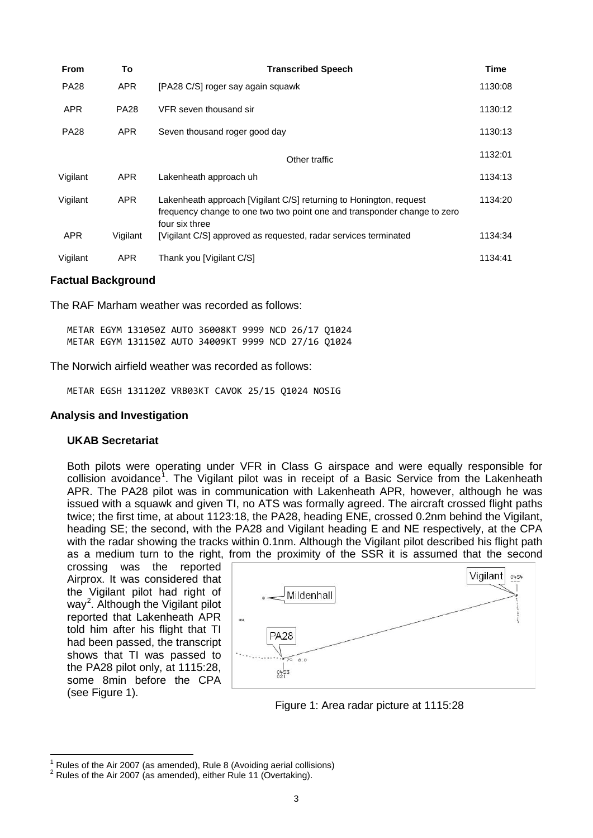| <b>From</b> | To          | <b>Transcribed Speech</b>                                                                                                                                        | <b>Time</b> |
|-------------|-------------|------------------------------------------------------------------------------------------------------------------------------------------------------------------|-------------|
| <b>PA28</b> | <b>APR</b>  | [PA28 C/S] roger say again squawk                                                                                                                                | 1130:08     |
| <b>APR</b>  | <b>PA28</b> | VFR seven thousand sir                                                                                                                                           | 1130:12     |
| <b>PA28</b> | <b>APR</b>  | Seven thousand roger good day                                                                                                                                    | 1130:13     |
|             |             | Other traffic                                                                                                                                                    | 1132:01     |
| Vigilant    | <b>APR</b>  | Lakenheath approach uh                                                                                                                                           | 1134:13     |
| Vigilant    | <b>APR</b>  | Lakenheath approach [Vigilant C/S] returning to Honington, request<br>frequency change to one two two point one and transponder change to zero<br>four six three | 1134:20     |
| <b>APR</b>  | Vigilant    | [Vigilant C/S] approved as requested, radar services terminated                                                                                                  | 1134:34     |
| Vigilant    | <b>APR</b>  | Thank you [Vigilant C/S]                                                                                                                                         | 1134:41     |

### **Factual Background**

The RAF Marham weather was recorded as follows:

METAR EGYM 131050Z AUTO 36008KT 9999 NCD 26/17 Q1024 METAR EGYM 131150Z AUTO 34009KT 9999 NCD 27/16 Q1024

The Norwich airfield weather was recorded as follows:

METAR EGSH 131120Z VRB03KT CAVOK 25/15 Q1024 NOSIG

#### **Analysis and Investigation**

### **UKAB Secretariat**

Both pilots were operating under VFR in Class G airspace and were equally responsible for collision avoidance<sup>[1](#page-2-0)</sup>. The Vigilant pilot was in receipt of a Basic Service from the Lakenheath APR. The PA28 pilot was in communication with Lakenheath APR, however, although he was issued with a squawk and given TI, no ATS was formally agreed. The aircraft crossed flight paths twice; the first time, at about 1123:18, the PA28, heading ENE, crossed 0.2nm behind the Vigilant, heading SE; the second, with the PA28 and Vigilant heading E and NE respectively, at the CPA with the radar showing the tracks within 0.1nm. Although the Vigilant pilot described his flight path as a medium turn to the right, from the proximity of the SSR it is assumed that the second

crossing was the reported Airprox. It was considered that the Vigilant pilot had right of way<sup>[2](#page-2-1)</sup>. Although the Vigilant pilot reported that Lakenheath APR told him after his flight that TI had been passed, the transcript shows that TI was passed to the PA28 pilot only, at 1115:28, some 8min before the CPA (see Figure 1).



Figure 1: Area radar picture at 1115:28

<span id="page-2-1"></span><span id="page-2-0"></span><sup>&</sup>lt;sup>1</sup> Rules of the Air 2007 (as amended), Rule 8 (Avoiding aerial collisions)  $2$  Rules of the Air 2007 (as amended), either Rule 11 (Overtaking).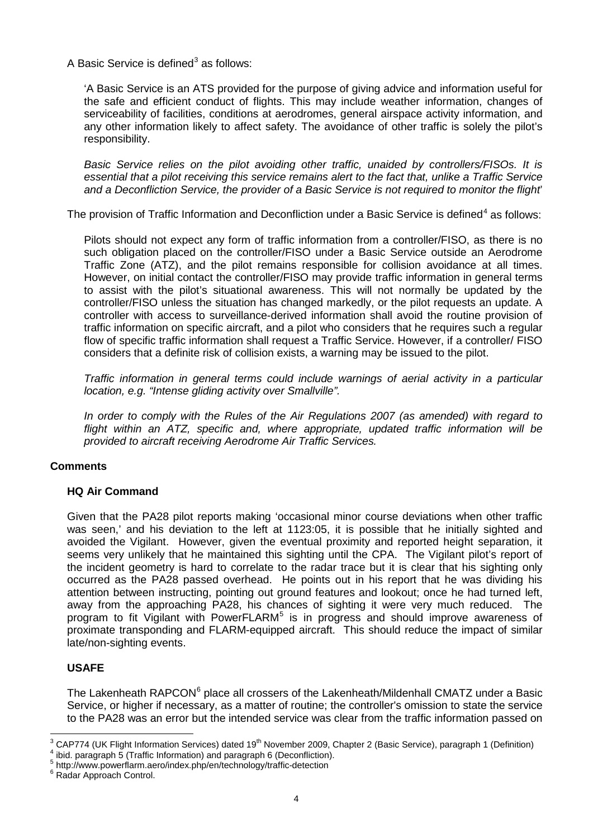A Basic Service is defined<sup>[3](#page-3-0)</sup> as follows:

'A Basic Service is an ATS provided for the purpose of giving advice and information useful for the safe and efficient conduct of flights. This may include weather information, changes of serviceability of facilities, conditions at aerodromes, general airspace activity information, and any other information likely to affect safety. The avoidance of other traffic is solely the pilot's responsibility.

*Basic Service relies on the pilot avoiding other traffic, unaided by controllers/FISOs. It is essential that a pilot receiving this service remains alert to the fact that, unlike a Traffic Service and a Deconfliction Service, the provider of a Basic Service is not required to monitor the flight*'

The provision of Traffic Information and Deconfliction under a Basic Service is defined<sup>[4](#page-3-1)</sup> as follows:

Pilots should not expect any form of traffic information from a controller/FISO, as there is no such obligation placed on the controller/FISO under a Basic Service outside an Aerodrome Traffic Zone (ATZ), and the pilot remains responsible for collision avoidance at all times. However, on initial contact the controller/FISO may provide traffic information in general terms to assist with the pilot's situational awareness. This will not normally be updated by the controller/FISO unless the situation has changed markedly, or the pilot requests an update. A controller with access to surveillance-derived information shall avoid the routine provision of traffic information on specific aircraft, and a pilot who considers that he requires such a regular flow of specific traffic information shall request a Traffic Service. However, if a controller/ FISO considers that a definite risk of collision exists, a warning may be issued to the pilot.

*Traffic information in general terms could include warnings of aerial activity in a particular location, e.g. "Intense gliding activity over Smallville".*

*In order to comply with the Rules of the Air Regulations 2007 (as amended) with regard to flight within an ATZ, specific and, where appropriate, updated traffic information will be provided to aircraft receiving Aerodrome Air Traffic Services.*

# **Comments**

# **HQ Air Command**

Given that the PA28 pilot reports making 'occasional minor course deviations when other traffic was seen,' and his deviation to the left at 1123:05, it is possible that he initially sighted and avoided the Vigilant. However, given the eventual proximity and reported height separation, it seems very unlikely that he maintained this sighting until the CPA. The Vigilant pilot's report of the incident geometry is hard to correlate to the radar trace but it is clear that his sighting only occurred as the PA28 passed overhead. He points out in his report that he was dividing his attention between instructing, pointing out ground features and lookout; once he had turned left, away from the approaching PA28, his chances of sighting it were very much reduced. The program to fit Vigilant with PowerFLARM<sup>[5](#page-3-2)</sup> is in progress and should improve awareness of proximate transponding and FLARM-equipped aircraft. This should reduce the impact of similar late/non-sighting events.

# **USAFE**

The Lakenheath RAPCON<sup>[6](#page-3-3)</sup> place all crossers of the Lakenheath/Mildenhall CMATZ under a Basic Service, or higher if necessary, as a matter of routine; the controller's omission to state the service to the PA28 was an error but the intended service was clear from the traffic information passed on

<span id="page-3-0"></span> $3$  CAP774 (UK Flight Information Services) dated 19<sup>th</sup> November 2009, Chapter 2 (Basic Service), paragraph 1 (Definition)

<span id="page-3-1"></span><sup>&</sup>lt;sup>4</sup> ibid. paragraph 5 (Traffic Information) and paragraph 6 (Deconfliction).<br>
<sup>5</sup> http://www.powerflarm.aero/index.php/en/technology/traffic-detection 6 Radar Approach Control.

<span id="page-3-2"></span>

<span id="page-3-3"></span>